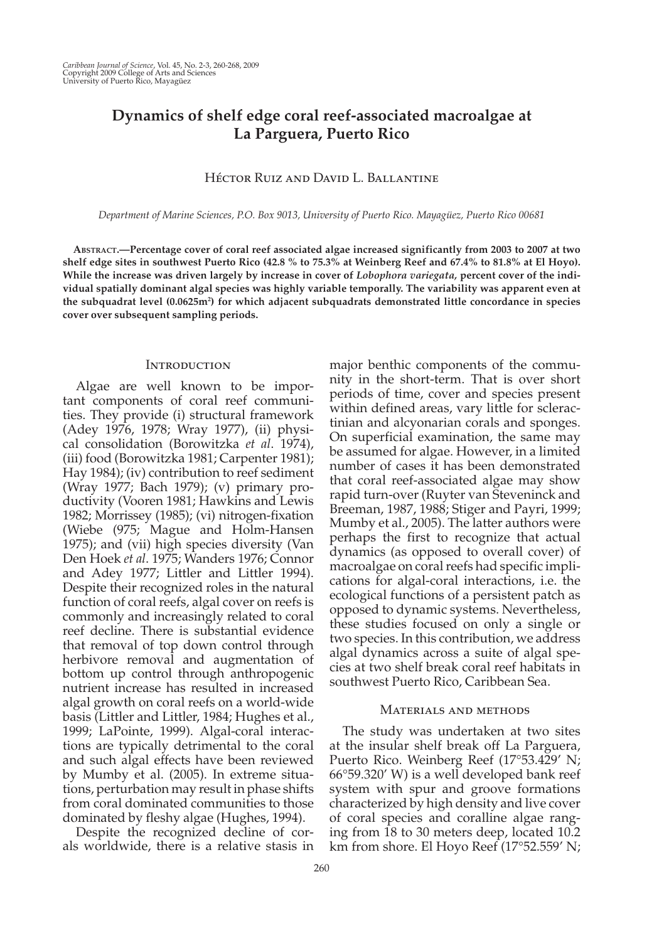# **Dynamics of shelf edge coral reef-associated macroalgae at La Parguera, Puerto Rico**

# Héctor Ruiz and David L. Ballantine

 *Department of Marine Sciences, P.O. Box 9013, University of Puerto Rico. Mayagüez, Puerto Rico 00681* 

 **ABSTRACT. — Percentage cover of coral reef associated algae increased significantly from 2003 to 2007 at two shelf edge sites in southwest Puerto Rico (42.8 % to 75.3% at Weinberg Reef and 67.4% to 81.8% at El Hoyo). While the increase was driven largely by increase in cover of** *Lobophora variegata,* **percent cover of the individual spatially dominant algal species was highly variable temporally. The variability was apparent even at**  the subquadrat level (0.0625m<sup>2</sup>) for which adjacent subquadrats demonstrated little concordance in species **cover over subsequent sampling periods.** 

### **INTRODUCTION**

 Algae are well known to be important components of coral reef communities. They provide (i) structural framework (Adey 1976, 1978; Wray 1977), (ii) physical consolidation (Borowitzka *et al* . 1974), (iii) food (Borowitzka 1981; Carpenter 1981); Hay 1984); (iv) contribution to reef sediment (Wray 1977; Bach 1979); (v) primary productivity (Vooren 1981; Hawkins and Lewis 1982; Morrissey (1985); (vi) nitrogen-fixation (Wiebe (975; Mague and Holm-Hansen 1975); and (vii) high species diversity (Van Den Hoek *et al.* 1975; Wanders 1976; Connor and Adey 1977; Littler and Littler 1994). Despite their recognized roles in the natural function of coral reefs, algal cover on reefs is commonly and increasingly related to coral reef decline. There is substantial evidence that removal of top down control through herbivore removal and augmentation of bottom up control through anthropogenic nutrient increase has resulted in increased algal growth on coral reefs on a world-wide basis (Littler and Littler, 1984; Hughes et al., 1999; LaPointe, 1999). Algal-coral interactions are typically detrimental to the coral and such algal effects have been reviewed by Mumby et al. (2005). In extreme situations, perturbation may result in phase shifts from coral dominated communities to those dominated by fleshy algae (Hughes, 1994).

 Despite the recognized decline of corals worldwide, there is a relative stasis in major benthic components of the community in the short-term. That is over short periods of time, cover and species present within defined areas, vary little for scleractinian and alcyonarian corals and sponges. On superficial examination, the same may be assumed for algae. However, in a limited number of cases it has been demonstrated that coral reef-associated algae may show rapid turn-over (Ruyter van Steveninck and Breeman, 1987, 1988; Stiger and Payri, 1999; Mumby et al., 2005). The latter authors were perhaps the first to recognize that actual dynamics (as opposed to overall cover) of macroalgae on coral reefs had specific implications for algal-coral interactions, i.e. the ecological functions of a persistent patch as opposed to dynamic systems. Nevertheless, these studies focused on only a single or two species. In this contribution, we address algal dynamics across a suite of algal species at two shelf break coral reef habitats in southwest Puerto Rico, Caribbean Sea.

### Materials and methods

 The study was undertaken at two sites at the insular shelf break off La Parguera, Puerto Rico. Weinberg Reef (17°53.429' N; 66°59.320' W) is a well developed bank reef system with spur and groove formations characterized by high density and live cover of coral species and coralline algae ranging from 18 to 30 meters deep, located 10.2 km from shore. El Hoyo Reef (17°52.559' N;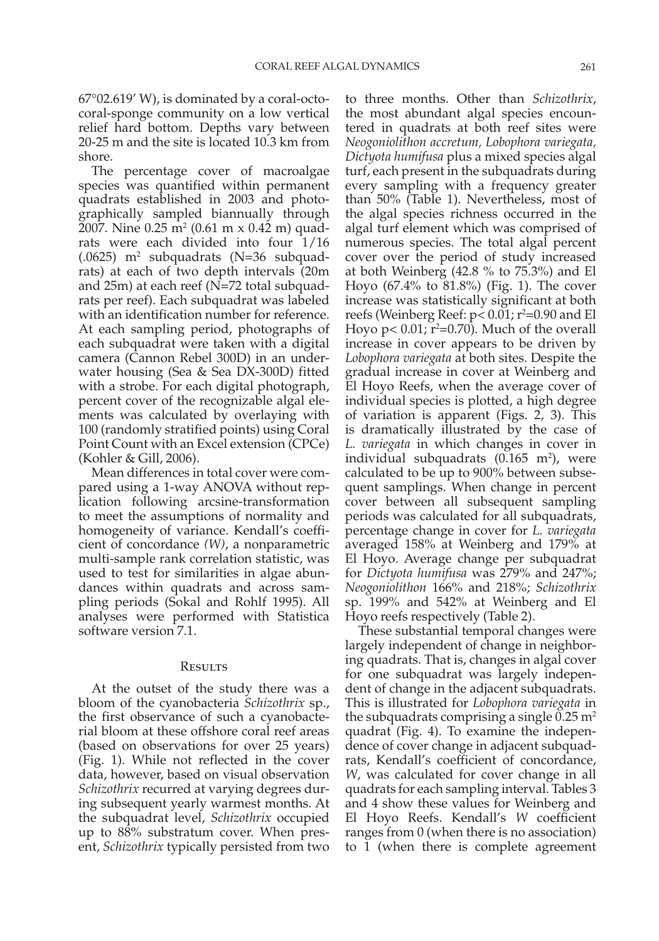67°02.619' W), is dominated by a coral-octocoral-sponge community on a low vertical relief hard bottom. Depths vary between 20-25 m and the site is located 10.3 km from shore.

 The percentage cover of macroalgae species was quantified within permanent quadrats established in 2003 and photographically sampled biannually through 2007. Nine 0.25 m<sup>2</sup> (0.61 m x 0.42 m) quadrats were each divided into four 1/16  $(.0625)$  m<sup>2</sup> subquadrats (N=36 subquadrats) at each of two depth intervals (20m and 25m) at each reef (N=72 total subquadrats per reef). Each subquadrat was labeled with an identification number for reference. At each sampling period, photographs of each subquadrat were taken with a digital camera (Cannon Rebel 300D) in an underwater housing (Sea & Sea DX-300D) fitted with a strobe. For each digital photograph, percent cover of the recognizable algal elements was calculated by overlaying with 100 (randomly stratified points) using Coral Point Count with an Excel extension (CPCe) (Kohler & Gill, 2006).

 Mean differences in total cover were compared using a 1-way ANOVA without replication following arcsine-transformation to meet the assumptions of normality and homogeneity of variance. Kendall's coefficient of concordance *(W)* , a nonparametric multi-sample rank correlation statistic, was used to test for similarities in algae abundances within quadrats and across sampling periods (Sokal and Rohlf 1995). All analyses were performed with Statistica software version 7.1.

#### Results

 At the outset of the study there was a bloom of the cyanobacteria *Schizothrix* sp., the first observance of such a cyanobacterial bloom at these offshore coral reef areas (based on observations for over 25 years) (Fig. 1). While not reflected in the cover data, however, based on visual observation *Schizothrix* recurred at varying degrees during subsequent yearly warmest months. At the subquadrat level, *Schizothrix* occupied up to 88% substratum cover. When present, *Schizothrix* typically persisted from two

to three months. Other than *Schizothrix*, the most abundant algal species encountered in quadrats at both reef sites were *Neogoniolithon accretum, Lobophora variegata, Dictyota humifusa* plus a mixed species algal turf, each present in the subquadrats during every sampling with a frequency greater than 50% (Table 1). Nevertheless, most of the algal species richness occurred in the algal turf element which was comprised of numerous species. The total algal percent cover over the period of study increased at both Weinberg (42.8 % to 75.3%) and El Hoyo  $(67.4\% \text{ to } 81.8\%)$  (Fig. 1). The cover increase was statistically significant at both reefs (Weinberg Reef:  $p< 0.01$ ;  $r^2=0.90$  and El Hoyo  $p < 0.01$ ;  $r^2 = 0.70$ ). Much of the overall increase in cover appears to be driven by *Lobophora variegata* at both sites. Despite the gradual increase in cover at Weinberg and El Hoyo Reefs, when the average cover of individual species is plotted, a high degree of variation is apparent (Figs.  $2$ ,  $3$ ). This is dramatically illustrated by the case of *L. variegata* in which changes in cover in individual subquadrats  $(0.165 \text{ m}^2)$ , were calculated to be up to 900% between subsequent samplings. When change in percent cover between all subsequent sampling periods was calculated for all subquadrats, percentage change in cover for *L. variegata* averaged 158% at Weinberg and 179% at El Hoyo. Average change per subquadrat for *Dictyota humifusa* was 279% and 247%; *Neogoniolithon* 166% and 218%; *Schizothrix* sp. 199% and 542% at Weinberg and El Hoyo reefs respectively (Table 2).

 These substantial temporal changes were largely independent of change in neighboring quadrats. That is, changes in algal cover for one subquadrat was largely independent of change in the adjacent subquadrats. This is illustrated for *Lobophora variegata* in the subquadrats comprising a single  $0.25$  m<sup>2</sup> quadrat (Fig. 4). To examine the independence of cover change in adjacent subquadrats, Kendall's coefficient of concordance, *W*, was calculated for cover change in all quadrats for each sampling interval. Tables 3 and 4 show these values for Weinberg and El Hoyo Reefs. Kendall's *W* coefficient ranges from 0 (when there is no association) to 1 (when there is complete agreement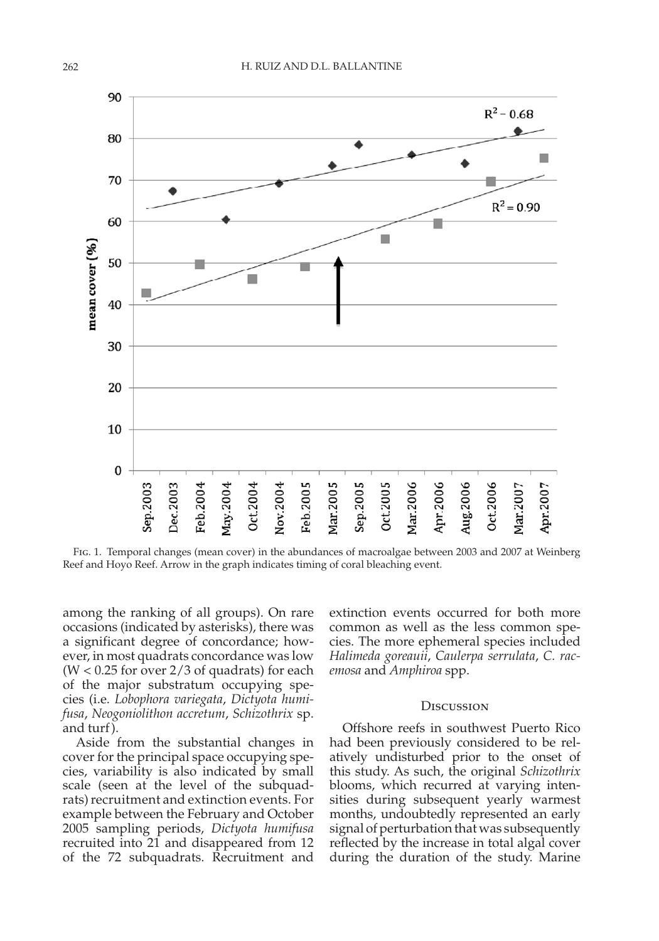

 Fig. 1. Temporal changes (mean cover) in the abundances of macroalgae between 2003 and 2007 at Weinberg Reef and Hoyo Reef. Arrow in the graph indicates timing of coral bleaching event.

among the ranking of all groups). On rare occasions (indicated by asterisks), there was a significant degree of concordance; however, in most quadrats concordance was low  $(W < 0.25$  for over 2/3 of quadrats) for each of the major substratum occupying species (i.e. *Lobophora variegata* , *Dictyota humifusa* , *Neogoniolithon accretum* , *Schizothrix* sp. and turf ).

 Aside from the substantial changes in cover for the principal space occupying species, variability is also indicated by small scale (seen at the level of the subquadrats) recruitment and extinction events. For example between the February and October 2005 sampling periods, *Dictyota humifusa* recruited into 21 and disappeared from 12 of the 72 subquadrats. Recruitment and

extinction events occurred for both more common as well as the less common species. The more ephemeral species included *Halimeda goreauii* , *Caulerpa serrulata* , *C. racemosa* and *Amphiroa* spp.

#### **DISCUSSION**

 Offshore reefs in southwest Puerto Rico had been previously considered to be relatively undisturbed prior to the onset of this study. As such, the original *Schizothrix* blooms, which recurred at varying intensities during subsequent yearly warmest months, undoubtedly represented an early signal of perturbation that was subsequently reflected by the increase in total algal cover during the duration of the study. Marine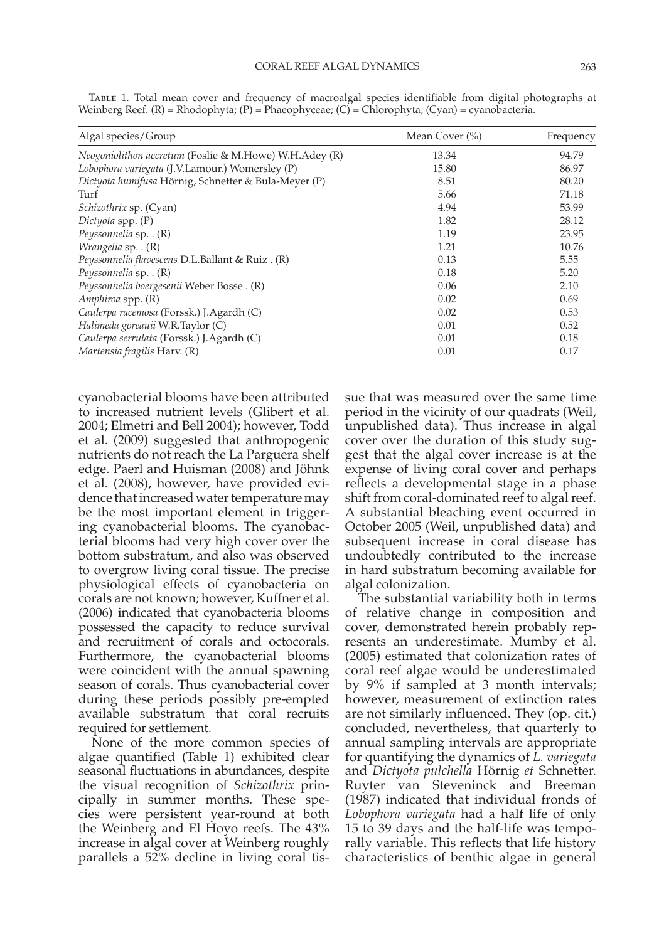| Mean Cover (%) | Frequency |
|----------------|-----------|
| 13.34          | 94.79     |
| 15.80          | 86.97     |
| 8.51           | 80.20     |
| 5.66           | 71.18     |
| 4.94           | 53.99     |
| 1.82           | 28.12     |
| 1.19           | 23.95     |
| 1.21           | 10.76     |
| 0.13           | 5.55      |
| 0.18           | 5.20      |
| 0.06           | 2.10      |
| 0.02           | 0.69      |
| 0.02           | 0.53      |
| 0.01           | 0.52      |
| 0.01           | 0.18      |
| 0.01           | 0.17      |
|                |           |

 Table 1. Total mean cover and frequency of macroalgal species identifiable from digital photographs at Weinberg Reef. (R) = Rhodophyta; (P) = Phaeophyceae; (C) = Chlorophyta; (Cyan) = cyanobacteria.

cyanobacterial blooms have been attributed to increased nutrient levels (Glibert et al. 2004; Elmetri and Bell 2004); however, Todd et al. (2009) suggested that anthropogenic nutrients do not reach the La Parguera shelf edge. Paerl and Huisman (2008) and Jöhnk et al. (2008), however, have provided evidence that increased water temperature may be the most important element in triggering cyanobacterial blooms. The cyanobacterial blooms had very high cover over the bottom substratum, and also was observed to overgrow living coral tissue. The precise physiological effects of cyanobacteria on corals are not known; however, Kuffner et al. (2006) indicated that cyanobacteria blooms possessed the capacity to reduce survival and recruitment of corals and octocorals. Furthermore, the cyanobacterial blooms were coincident with the annual spawning season of corals. Thus cyanobacterial cover during these periods possibly pre-empted available substratum that coral recruits required for settlement.

 None of the more common species of algae quantified (Table 1) exhibited clear seasonal fluctuations in abundances, despite the visual recognition of *Schizothrix* principally in summer months. These species were persistent year-round at both the Weinberg and El Hoyo reefs. The 43% increase in algal cover at Weinberg roughly parallels a 52% decline in living coral tissue that was measured over the same time period in the vicinity of our quadrats (Weil, unpublished data). Thus increase in algal cover over the duration of this study suggest that the algal cover increase is at the expense of living coral cover and perhaps reflects a developmental stage in a phase shift from coral-dominated reef to algal reef. A substantial bleaching event occurred in October 2005 (Weil, unpublished data) and subsequent increase in coral disease has undoubtedly contributed to the increase in hard substratum becoming available for algal colonization.

 The substantial variability both in terms of relative change in composition and cover, demonstrated herein probably represents an underestimate. Mumby et al. (2005) estimated that colonization rates of coral reef algae would be underestimated by 9% if sampled at 3 month intervals; however, measurement of extinction rates are not similarly influenced. They (op. cit.) concluded, nevertheless, that quarterly to annual sampling intervals are appropriate for quantifying the dynamics of *L. variegata* and *Dictyota pulchella* Hörnig *et* Schnetter. Ruyter van Steveninck and Breeman (1987) indicated that individual fronds of *Lobophora variegata* had a half life of only 15 to 39 days and the half-life was temporally variable. This reflects that life history characteristics of benthic algae in general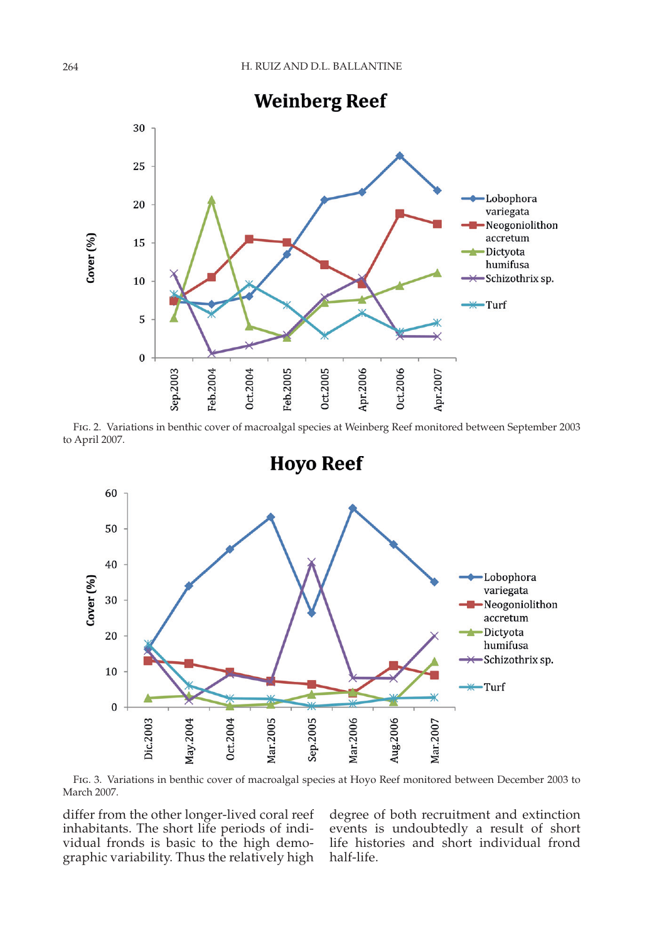

 Fig. 2. Variations in benthic cover of macroalgal species at Weinberg Reef monitored between September 2003 to April 2007.



 Fig. 3. Variations in benthic cover of macroalgal species at Hoyo Reef monitored between December 2003 to March 2007.

differ from the other longer-lived coral reef inhabitants. The short life periods of individual fronds is basic to the high demographic variability. Thus the relatively high

degree of both recruitment and extinction events is undoubtedly a result of short life histories and short individual frond half-life.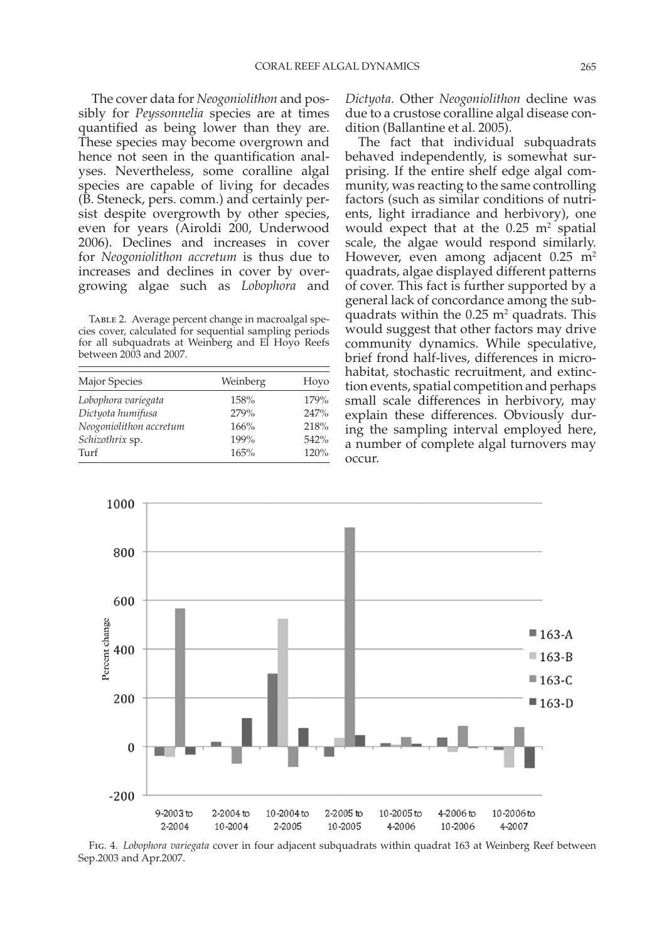The cover data for *Neogoniolithon* and possibly for *Peyssonnelia* species are at times quantified as being lower than they are. These species may become overgrown and hence not seen in the quantification analyses. Nevertheless, some coralline algal species are capable of living for decades (B. Steneck, pers. comm.) and certainly persist despite overgrowth by other species, even for years (Airoldi 200, Underwood 2006). Declines and increases in cover for *Neogoniolithon accretum* is thus due to increases and declines in cover by overgrowing algae such as *Lobophora* and

TABLE 2. Average percent change in macroalgal species cover, calculated for sequential sampling periods for all subquadrats at Weinberg and El Hoyo Reefs between 2003 and 2007.

| Major Species           | Weinberg | Hoyo |
|-------------------------|----------|------|
| Lobophora variegata     | 158%     | 179% |
| Dictyota humifusa       | 279%     | 247% |
| Neogoniolithon accretum | 166%     | 218% |
| Schizothrix sp.         | 199%     | 542% |
| Turf                    | 165%     | 120% |

*Dictyota.* Other *Neogoniolithon* decline was due to a crustose coralline algal disease condition (Ballantine et al. 2005).

 The fact that individual subquadrats behaved independently, is somewhat surprising. If the entire shelf edge algal community, was reacting to the same controlling factors (such as similar conditions of nutrients, light irradiance and herbivory), one would expect that at the  $0.25 \text{ m}^2$  spatial scale, the algae would respond similarly. However, even among adjacent  $0.25 \text{ m}^2$ quadrats, algae displayed different patterns of cover. This fact is further supported by a general lack of concordance among the subquadrats within the  $0.25$  m<sup>2</sup> quadrats. This would suggest that other factors may drive community dynamics. While speculative, brief frond half-lives, differences in microhabitat, stochastic recruitment, and extinction events, spatial competition and perhaps small scale differences in herbivory, may explain these differences. Obviously during the sampling interval employed here, a number of complete algal turnovers may occur.



 Fig. 4. *Lobophora variegata* cover in four adjacent subquadrats within quadrat 163 at Weinberg Reef between Sep.2003 and Apr.2007.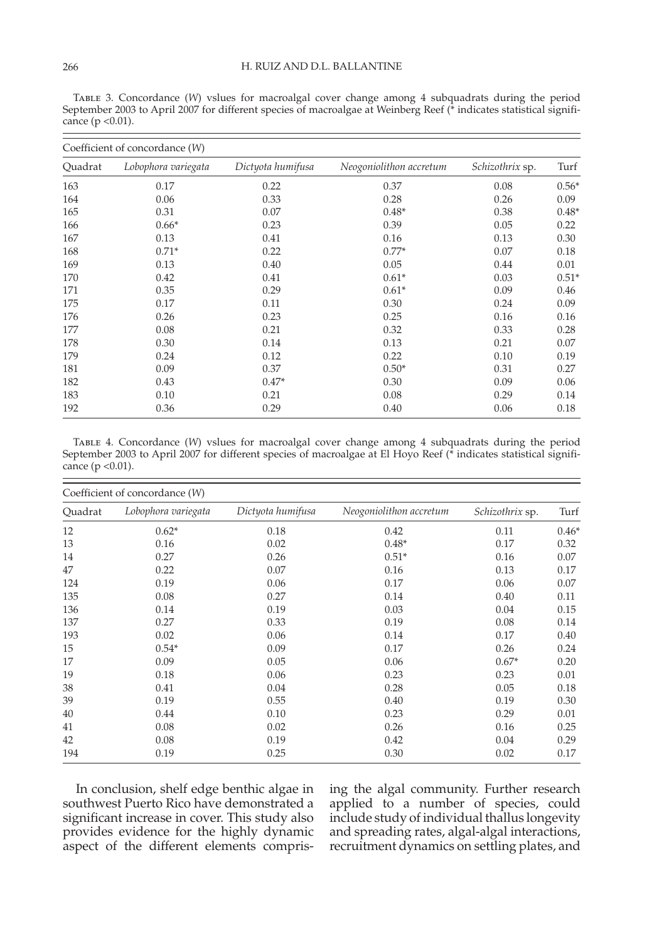Table 3. Concordance (*W*) vslues for macroalgal cover change among 4 subquadrats during the period September 2003 to April 2007 for different species of macroalgae at Weinberg Reef (\* indicates statistical significance ( $p < 0.01$ ).

|         | Coefficient of concordance (W) |                   |                         |                 |         |  |  |  |
|---------|--------------------------------|-------------------|-------------------------|-----------------|---------|--|--|--|
| Quadrat | Lobophora variegata            | Dictyota humifusa | Neogoniolithon accretum | Schizothrix sp. | Turf    |  |  |  |
| 163     | 0.17                           | 0.22              | 0.37                    | 0.08            | $0.56*$ |  |  |  |
| 164     | 0.06                           | 0.33              | 0.28                    | 0.26            | 0.09    |  |  |  |
| 165     | 0.31                           | 0.07              | $0.48*$                 | 0.38            | $0.48*$ |  |  |  |
| 166     | $0.66*$                        | 0.23              | 0.39                    | 0.05            | 0.22    |  |  |  |
| 167     | 0.13                           | 0.41              | 0.16                    | 0.13            | 0.30    |  |  |  |
| 168     | $0.71*$                        | 0.22              | $0.77*$                 | 0.07            | 0.18    |  |  |  |
| 169     | 0.13                           | 0.40              | 0.05                    | 0.44            | 0.01    |  |  |  |
| 170     | 0.42                           | 0.41              | $0.61*$                 | 0.03            | $0.51*$ |  |  |  |
| 171     | 0.35                           | 0.29              | $0.61*$                 | 0.09            | 0.46    |  |  |  |
| 175     | 0.17                           | 0.11              | 0.30                    | 0.24            | 0.09    |  |  |  |
| 176     | 0.26                           | 0.23              | 0.25                    | 0.16            | 0.16    |  |  |  |
| 177     | 0.08                           | 0.21              | 0.32                    | 0.33            | 0.28    |  |  |  |
| 178     | 0.30                           | 0.14              | 0.13                    | 0.21            | 0.07    |  |  |  |
| 179     | 0.24                           | 0.12              | 0.22                    | 0.10            | 0.19    |  |  |  |
| 181     | 0.09                           | 0.37              | $0.50*$                 | 0.31            | 0.27    |  |  |  |
| 182     | 0.43                           | $0.47*$           | 0.30                    | 0.09            | 0.06    |  |  |  |
| 183     | 0.10                           | 0.21              | 0.08                    | 0.29            | 0.14    |  |  |  |
| 192     | 0.36                           | 0.29              | 0.40                    | 0.06            | 0.18    |  |  |  |

Table 4. Concordance (*W*) vslues for macroalgal cover change among 4 subquadrats during the period September 2003 to April 2007 for different species of macroalgae at El Hoyo Reef (\* indicates statistical significance ( $p < 0.01$ ).

| Coefficient of concordance (W) |                     |                   |                         |                 |         |  |  |
|--------------------------------|---------------------|-------------------|-------------------------|-----------------|---------|--|--|
| Quadrat                        | Lobophora variegata | Dictyota humifusa | Neogoniolithon accretum | Schizothrix sp. | Turf    |  |  |
| 12                             | $0.62*$             | 0.18              | 0.42                    | 0.11            | $0.46*$ |  |  |
| 13                             | 0.16                | 0.02              | $0.48*$                 | 0.17            | 0.32    |  |  |
| 14                             | 0.27                | 0.26              | $0.51*$                 | 0.16            | 0.07    |  |  |
| 47                             | 0.22                | 0.07              | 0.16                    | 0.13            | 0.17    |  |  |
| 124                            | 0.19                | 0.06              | 0.17                    | 0.06            | 0.07    |  |  |
| 135                            | 0.08                | 0.27              | 0.14                    | 0.40            | 0.11    |  |  |
| 136                            | 0.14                | 0.19              | 0.03                    | 0.04            | 0.15    |  |  |
| 137                            | 0.27                | 0.33              | 0.19                    | 0.08            | 0.14    |  |  |
| 193                            | 0.02                | 0.06              | 0.14                    | 0.17            | 0.40    |  |  |
| 15                             | $0.54*$             | 0.09              | 0.17                    | 0.26            | 0.24    |  |  |
| 17                             | 0.09                | 0.05              | 0.06                    | $0.67*$         | 0.20    |  |  |
| 19                             | 0.18                | 0.06              | 0.23                    | 0.23            | 0.01    |  |  |
| 38                             | 0.41                | 0.04              | 0.28                    | 0.05            | 0.18    |  |  |
| 39                             | 0.19                | 0.55              | 0.40                    | 0.19            | 0.30    |  |  |
| 40                             | 0.44                | 0.10              | 0.23                    | 0.29            | 0.01    |  |  |
| 41                             | 0.08                | 0.02              | 0.26                    | 0.16            | 0.25    |  |  |
| 42                             | 0.08                | 0.19              | 0.42                    | 0.04            | 0.29    |  |  |
| 194                            | 0.19                | 0.25              | 0.30                    | 0.02            | 0.17    |  |  |

 In conclusion, shelf edge benthic algae in southwest Puerto Rico have demonstrated a significant increase in cover. This study also provides evidence for the highly dynamic aspect of the different elements comprising the algal community. Further research applied to a number of species, could include study of individual thallus longevity and spreading rates, algal-algal interactions, recruitment dynamics on settling plates, and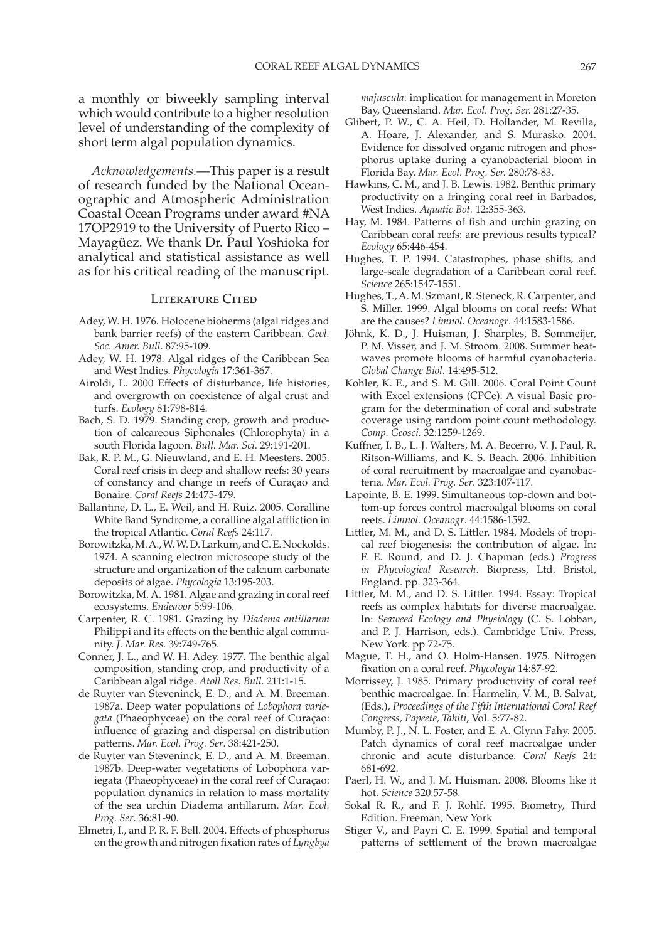a monthly or biweekly sampling interval which would contribute to a higher resolution level of understanding of the complexity of short term algal population dynamics.

 *Acknowledgements.* — This paper is a result of research funded by the National Oceanographic and Atmospheric Administration Coastal Ocean Programs under award #NA 17OP2919 to the University of Puerto Rico – Mayagüez. We thank Dr. Paul Yoshioka for analytical and statistical assistance as well as for his critical reading of the manuscript.

## LITERATURE CITED

- Adey, W. H. 1976. Holocene bioherms (algal ridges and bank barrier reefs) of the eastern Caribbean. *Geol. Soc. Amer. Bull* . 87:95-109.
- Adey, W. H. 1978. Algal ridges of the Caribbean Sea and West Indies. *Phycologia* 17:361-367.
- Airoldi, L. 2000 Effects of disturbance, life histories, and overgrowth on coexistence of algal crust and turfs. *Ecology* 81:798-814.
- Bach, S. D. 1979. Standing crop, growth and production of calcareous Siphonales (Chlorophyta) in a south Florida lagoon. *Bull. Mar. Sci* . 29:191-201.
- Bak, R. P. M., G. Nieuwland, and E. H. Meesters. 2005. Coral reef crisis in deep and shallow reefs: 30 years of constancy and change in reefs of Curaçao and Bonaire. *Coral Reefs* 24:475-479.
- Ballantine, D. L., E. Weil, and H. Ruiz. 2005. Coralline White Band Syndrome, a coralline algal affliction in the tropical Atlantic *. Coral Reefs* 24:117.
- Borowitzka, M. A., W. W. D. Larkum, and C. E. Nockolds. 1974. A scanning electron microscope study of the structure and organization of the calcium carbonate deposits of algae. *Phycologia* 13:195-203.
- Borowitzka, M. A. 1981. Algae and grazing in coral reef ecosystems. *Endeavor* 5:99-106.
- Carpenter, R. C. 1981. Grazing by *Diadema antillarum* Philippi and its effects on the benthic algal community. *J. Mar. Res.* 39:749-765.
- Conner, J. L., and W. H. Adey. 1977. The benthic algal composition, standing crop, and productivity of a Caribbean algal ridge. *Atoll Res. Bull.* 211:1-15.
- de Ruyter van Steveninck, E. D., and A. M. Breeman. 1987a. Deep water populations of *Lobophora variegata* (Phaeophyceae) on the coral reef of Curaçao: influence of grazing and dispersal on distribution patterns. *Mar. Ecol. Prog. Ser* . 38:421-250.
- de Ruyter van Steveninck, E. D., and A. M. Breeman. 1987b. Deep-water vegetations of Lobophora variegata (Phaeophyceae) in the coral reef of Curaçao: population dynamics in relation to mass mortality of the sea urchin Diadema antillarum. *Mar. Ecol. Prog. Ser* . 36:81-90.
- Elmetri, I., and P. R. F. Bell. 2004. Effects of phosphorus on the growth and nitrogen fixation rates of *Lyngbya*

*majuscula* : implication for management in Moreton Bay, Queensland. *Mar. Ecol. Prog. Ser.* 281:27-35.

- Glibert, P. W., C. A. Heil, D. Hollander, M. Revilla, A. Hoare, J. Alexander, and S. Murasko. 2004. Evidence for dissolved organic nitrogen and phosphorus uptake during a cyanobacterial bloom in Florida Bay. *Mar. Ecol. Prog. Ser.* 280:78-83.
- Hawkins, C. M., and J. B. Lewis. 1982. Benthic primary productivity on a fringing coral reef in Barbados, West Indies. *Aquatic Bot.* 12:355-363.
- Hay, M. 1984. Patterns of fish and urchin grazing on Caribbean coral reefs: are previous results typical? *Ecology* 65:446-454.
- Hughes, T. P. 1994. Catastrophes, phase shifts, and large-scale degradation of a Caribbean coral reef. *Science* 265:1547-1551.
- Hughes, T., A. M. Szmant, R. Steneck, R. Carpenter, and S. Miller. 1999. Algal blooms on coral reefs: What are the causes? *Limnol. Oceanogr* . 44:1583-1586.
- Jöhnk, K. D., J. Huisman, J. Sharples, B. Sommeijer, P. M. Visser, and J. M. Stroom. 2008. Summer heatwaves promote blooms of harmful cyanobacteria. *Global Change Biol* . 14:495-512.
- Kohler, K. E., and S. M. Gill. 2006. Coral Point Count with Excel extensions (CPCe): A visual Basic program for the determination of coral and substrate coverage using random point count methodology. *Comp. Geosci.* 32:1259-1269.
- Kuffner, I. B., L. J. Walters, M. A. Becerro, V. J. Paul, R. Ritson-Williams, and K. S. Beach. 2006. Inhibition of coral recruitment by macroalgae and cyanobacteria. *Mar. Ecol. Prog. Ser* . 323:107-117.
- Lapointe, B. E. 1999. Simultaneous top-down and bottom-up forces control macroalgal blooms on coral reefs. *Limnol. Oceanogr* . 44:1586-1592.
- Littler, M. M., and D. S. Littler. 1984. Models of tropical reef biogenesis: the contribution of algae. In: F. E. Round, and D. J. Chapman (eds.) *Progress*  in Phycological Research. Biopress, Ltd. Bristol, England. pp. 323-364.
- Littler, M. M., and D. S. Littler. 1994. Essay: Tropical reefs as complex habitats for diverse macroalgae. In: *Seaweed Ecology and Physiology* (C. S. Lobban, and P. J. Harrison, eds.). Cambridge Univ. Press, New York. pp 72-75.
- Mague, T. H., and O. Holm-Hansen. 1975. Nitrogen fixation on a coral reef. *Phycologia* 14:87-92.
- Morrissey, J. 1985. Primary productivity of coral reef benthic macroalgae. In: Harmelin, V. M., B. Salvat, (Eds.), *Proceedings of the Fifth International Coral Reef Congress, Papeete, Tahiti* , Vol. 5:77-82.
- Mumby, P. J., N. L. Foster, and E. A. Glynn Fahy. 2005. Patch dynamics of coral reef macroalgae under chronic and acute disturbance. *Coral Reefs* 24: 681-692.
- Paerl, H. W., and J. M. Huisman. 2008. Blooms like it hot. *Science* 320:57-58.
- Sokal R. R., and F. J. Rohlf. 1995. Biometry, Third Edition. Freeman, New York
- Stiger V., and Payri C. E. 1999. Spatial and temporal patterns of settlement of the brown macroalgae